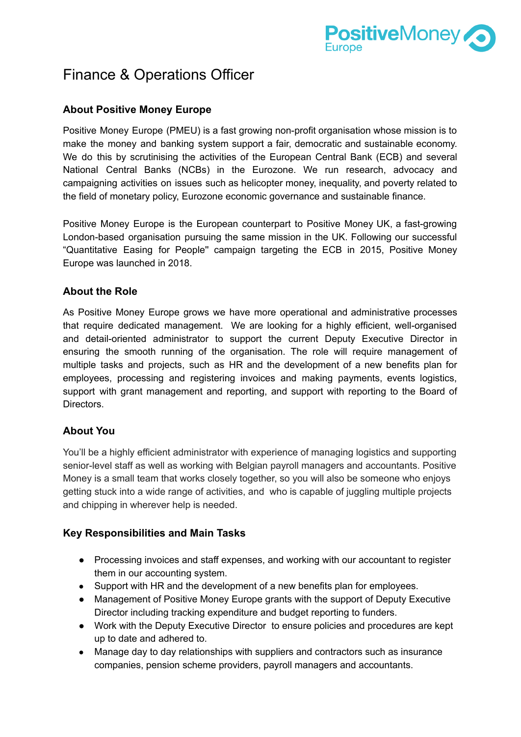

# Finance & Operations Officer

# **About Positive Money Europe**

Positive Money Europe (PMEU) is a fast growing non-profit organisation whose mission is to make the money and banking system support a fair, democratic and sustainable economy. We do this by scrutinising the activities of the European Central Bank (ECB) and several National Central Banks (NCBs) in the Eurozone. We run research, advocacy and campaigning activities on issues such as helicopter money, inequality, and poverty related to the field of monetary policy, Eurozone economic governance and sustainable finance.

Positive Money Europe is the European counterpart to Positive Money UK, a fast-growing London-based organisation pursuing the same mission in the UK. Following our successful "Quantitative Easing for People'' campaign targeting the ECB in 2015, Positive Money Europe was launched in 2018.

## **About the Role**

As Positive Money Europe grows we have more operational and administrative processes that require dedicated management. We are looking for a highly efficient, well-organised and detail-oriented administrator to support the current Deputy Executive Director in ensuring the smooth running of the organisation. The role will require management of multiple tasks and projects, such as HR and the development of a new benefits plan for employees, processing and registering invoices and making payments, events logistics, support with grant management and reporting, and support with reporting to the Board of Directors.

# **About You**

You'll be a highly efficient administrator with experience of managing logistics and supporting senior-level staff as well as working with Belgian payroll managers and accountants. Positive Money is a small team that works closely together, so you will also be someone who enjoys getting stuck into a wide range of activities, and who is capable of juggling multiple projects and chipping in wherever help is needed.

#### **Key Responsibilities and Main Tasks**

- Processing invoices and staff expenses, and working with our accountant to register them in our accounting system.
- Support with HR and the development of a new benefits plan for employees.
- Management of Positive Money Europe grants with the support of Deputy Executive Director including tracking expenditure and budget reporting to funders.
- Work with the Deputy Executive Director to ensure policies and procedures are kept up to date and adhered to.
- Manage day to day relationships with suppliers and contractors such as insurance companies, pension scheme providers, payroll managers and accountants.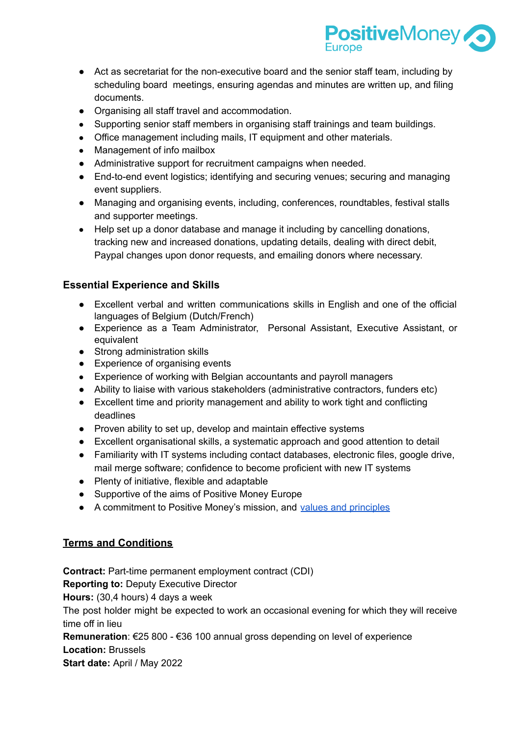

- Act as secretariat for the non-executive board and the senior staff team, including by scheduling board meetings, ensuring agendas and minutes are written up, and filing documents.
- Organising all staff travel and accommodation.
- Supporting senior staff members in organising staff trainings and team buildings.
- Office management including mails, IT equipment and other materials.
- Management of info mailbox
- Administrative support for recruitment campaigns when needed.
- End-to-end event logistics; identifying and securing venues; securing and managing event suppliers.
- Managing and organising events, including, conferences, roundtables, festival stalls and supporter meetings.
- Help set up a donor database and manage it including by cancelling donations, tracking new and increased donations, updating details, dealing with direct debit, Paypal changes upon donor requests, and emailing donors where necessary.

## **Essential Experience and Skills**

- Excellent verbal and written communications skills in English and one of the official languages of Belgium (Dutch/French)
- Experience as a Team Administrator, Personal Assistant, Executive Assistant, or equivalent
- Strong administration skills
- Experience of organising events
- Experience of working with Belgian accountants and payroll managers
- Ability to liaise with various stakeholders (administrative contractors, funders etc)
- Excellent time and priority management and ability to work tight and conflicting deadlines
- Proven ability to set up, develop and maintain effective systems
- Excellent organisational skills, a systematic approach and good attention to detail
- Familiarity with IT systems including contact databases, electronic files, google drive, mail merge software; confidence to become proficient with new IT systems
- Plenty of initiative, flexible and adaptable
- Supportive of the aims of Positive Money Europe
- A commitment to Positive Money's mission, and values and [principles](http://www.positivemoney.eu/wp-content/uploads/2021/11/Values-Principles-Positive-Money-EU.pdf)

# **Terms and Conditions**

**Contract:** Part-time permanent employment contract (CDI) **Reporting to:** Deputy Executive Director **Hours:** (30,4 hours) 4 days a week The post holder might be expected to work an occasional evening for which they will receive time off in lieu **Remuneration**: €25 800 - €36 100 annual gross depending on level of experience **Location:** Brussels **Start date:** April / May 2022